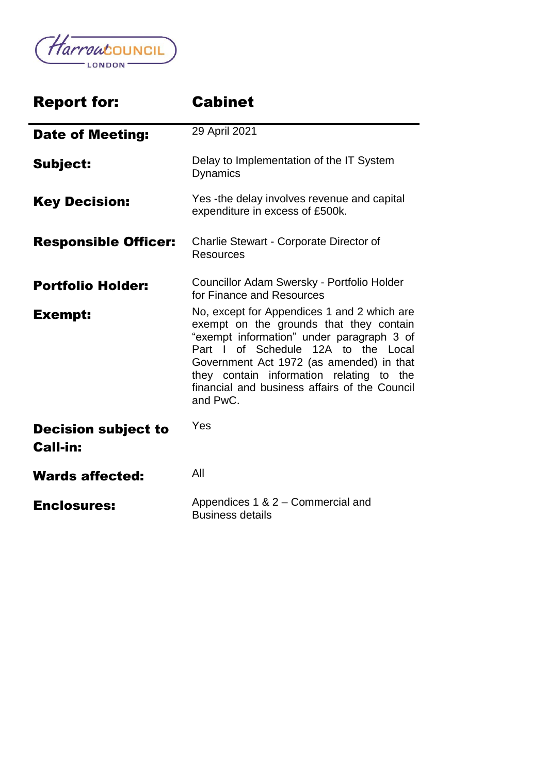

| <b>Report for:</b>                            | <b>Cabinet</b>                                                                                                                                                                                                                                                                                                                  |
|-----------------------------------------------|---------------------------------------------------------------------------------------------------------------------------------------------------------------------------------------------------------------------------------------------------------------------------------------------------------------------------------|
| <b>Date of Meeting:</b>                       | 29 April 2021                                                                                                                                                                                                                                                                                                                   |
| <b>Subject:</b>                               | Delay to Implementation of the IT System<br><b>Dynamics</b>                                                                                                                                                                                                                                                                     |
| <b>Key Decision:</b>                          | Yes -the delay involves revenue and capital<br>expenditure in excess of £500k.                                                                                                                                                                                                                                                  |
| <b>Responsible Officer:</b>                   | Charlie Stewart - Corporate Director of<br><b>Resources</b>                                                                                                                                                                                                                                                                     |
| <b>Portfolio Holder:</b>                      | Councillor Adam Swersky - Portfolio Holder<br>for Finance and Resources                                                                                                                                                                                                                                                         |
| <b>Exempt:</b>                                | No, except for Appendices 1 and 2 which are<br>exempt on the grounds that they contain<br>"exempt information" under paragraph 3 of<br>Part I of Schedule 12A to the Local<br>Government Act 1972 (as amended) in that<br>they contain information relating to the<br>financial and business affairs of the Council<br>and PwC. |
| <b>Decision subject to</b><br><b>Call-in:</b> | Yes                                                                                                                                                                                                                                                                                                                             |
| <b>Wards affected:</b>                        | All                                                                                                                                                                                                                                                                                                                             |
| <b>Enclosures:</b>                            | Appendices 1 & 2 - Commercial and<br><b>Business details</b>                                                                                                                                                                                                                                                                    |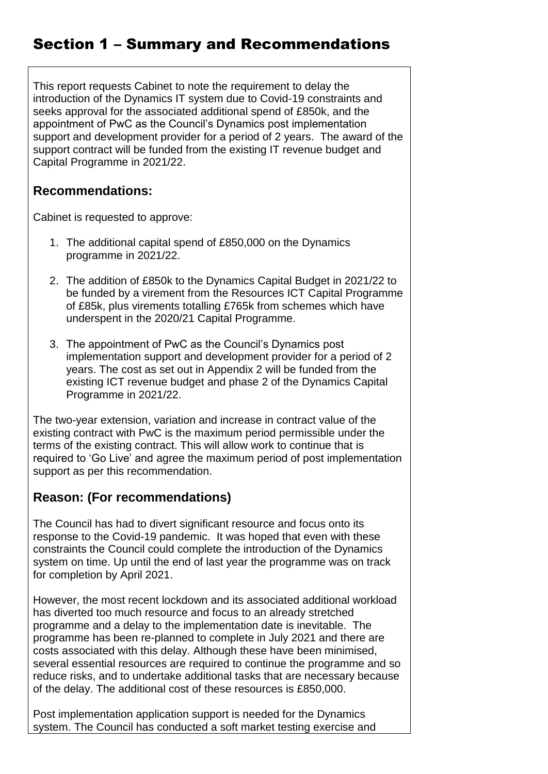# Section 1 – Summary and Recommendations

This report requests Cabinet to note the requirement to delay the introduction of the Dynamics IT system due to Covid-19 constraints and seeks approval for the associated additional spend of £850k, and the appointment of PwC as the Council's Dynamics post implementation support and development provider for a period of 2 years. The award of the support contract will be funded from the existing IT revenue budget and Capital Programme in 2021/22.

### **Recommendations:**

Cabinet is requested to approve:

- 1. The additional capital spend of £850,000 on the Dynamics programme in 2021/22.
- 2. The addition of £850k to the Dynamics Capital Budget in 2021/22 to be funded by a virement from the Resources ICT Capital Programme of £85k, plus virements totalling £765k from schemes which have underspent in the 2020/21 Capital Programme.
- 3. The appointment of PwC as the Council's Dynamics post implementation support and development provider for a period of 2 years. The cost as set out in Appendix 2 will be funded from the existing ICT revenue budget and phase 2 of the Dynamics Capital Programme in 2021/22.

The two-year extension, variation and increase in contract value of the existing contract with PwC is the maximum period permissible under the terms of the existing contract. This will allow work to continue that is required to 'Go Live' and agree the maximum period of post implementation support as per this recommendation.

## **Reason: (For recommendations)**

The Council has had to divert significant resource and focus onto its response to the Covid-19 pandemic. It was hoped that even with these constraints the Council could complete the introduction of the Dynamics system on time. Up until the end of last year the programme was on track for completion by April 2021.

However, the most recent lockdown and its associated additional workload has diverted too much resource and focus to an already stretched programme and a delay to the implementation date is inevitable. The programme has been re-planned to complete in July 2021 and there are costs associated with this delay. Although these have been minimised, several essential resources are required to continue the programme and so reduce risks, and to undertake additional tasks that are necessary because of the delay. The additional cost of these resources is £850,000.

Post implementation application support is needed for the Dynamics system. The Council has conducted a soft market testing exercise and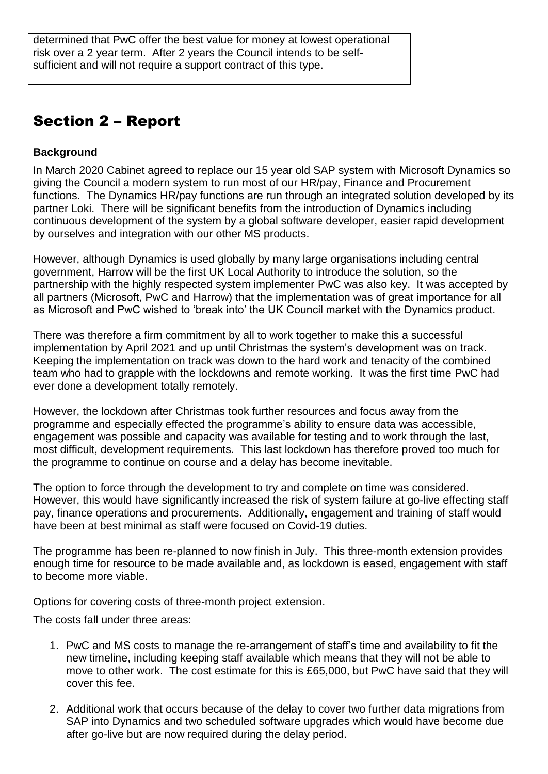determined that PwC offer the best value for money at lowest operational risk over a 2 year term. After 2 years the Council intends to be selfsufficient and will not require a support contract of this type.

# Section 2 – Report

#### **Background**

In March 2020 Cabinet agreed to replace our 15 year old SAP system with Microsoft Dynamics so giving the Council a modern system to run most of our HR/pay, Finance and Procurement functions. The Dynamics HR/pay functions are run through an integrated solution developed by its partner Loki. There will be significant benefits from the introduction of Dynamics including continuous development of the system by a global software developer, easier rapid development by ourselves and integration with our other MS products.

However, although Dynamics is used globally by many large organisations including central government, Harrow will be the first UK Local Authority to introduce the solution, so the partnership with the highly respected system implementer PwC was also key. It was accepted by all partners (Microsoft, PwC and Harrow) that the implementation was of great importance for all as Microsoft and PwC wished to 'break into' the UK Council market with the Dynamics product.

There was therefore a firm commitment by all to work together to make this a successful implementation by April 2021 and up until Christmas the system's development was on track. Keeping the implementation on track was down to the hard work and tenacity of the combined team who had to grapple with the lockdowns and remote working. It was the first time PwC had ever done a development totally remotely.

However, the lockdown after Christmas took further resources and focus away from the programme and especially effected the programme's ability to ensure data was accessible, engagement was possible and capacity was available for testing and to work through the last, most difficult, development requirements. This last lockdown has therefore proved too much for the programme to continue on course and a delay has become inevitable.

The option to force through the development to try and complete on time was considered. However, this would have significantly increased the risk of system failure at go-live effecting staff pay, finance operations and procurements. Additionally, engagement and training of staff would have been at best minimal as staff were focused on Covid-19 duties.

The programme has been re-planned to now finish in July. This three-month extension provides enough time for resource to be made available and, as lockdown is eased, engagement with staff to become more viable.

Options for covering costs of three-month project extension.

The costs fall under three areas:

- 1. PwC and MS costs to manage the re-arrangement of staff's time and availability to fit the new timeline, including keeping staff available which means that they will not be able to move to other work. The cost estimate for this is £65,000, but PwC have said that they will cover this fee.
- 2. Additional work that occurs because of the delay to cover two further data migrations from SAP into Dynamics and two scheduled software upgrades which would have become due after go-live but are now required during the delay period.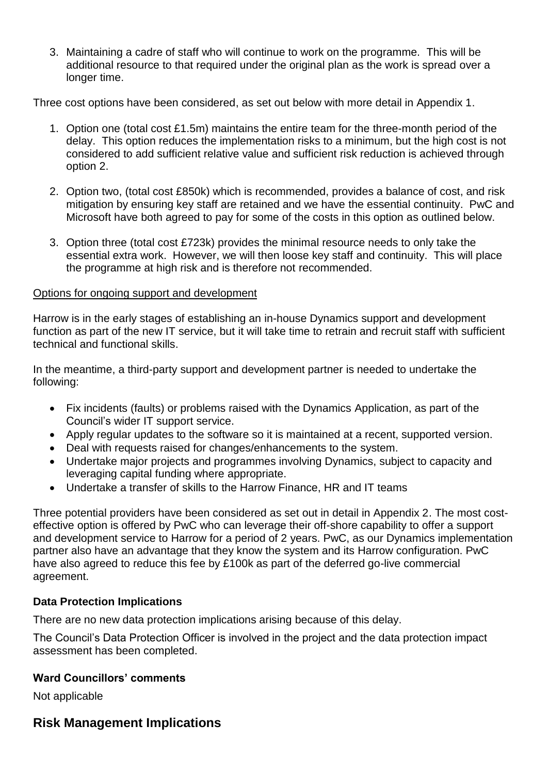3. Maintaining a cadre of staff who will continue to work on the programme. This will be additional resource to that required under the original plan as the work is spread over a longer time.

Three cost options have been considered, as set out below with more detail in Appendix 1.

- 1. Option one (total cost £1.5m) maintains the entire team for the three-month period of the delay. This option reduces the implementation risks to a minimum, but the high cost is not considered to add sufficient relative value and sufficient risk reduction is achieved through option 2.
- 2. Option two, (total cost £850k) which is recommended, provides a balance of cost, and risk mitigation by ensuring key staff are retained and we have the essential continuity. PwC and Microsoft have both agreed to pay for some of the costs in this option as outlined below.
- 3. Option three (total cost £723k) provides the minimal resource needs to only take the essential extra work. However, we will then loose key staff and continuity. This will place the programme at high risk and is therefore not recommended.

#### Options for ongoing support and development

Harrow is in the early stages of establishing an in-house Dynamics support and development function as part of the new IT service, but it will take time to retrain and recruit staff with sufficient technical and functional skills.

In the meantime, a third-party support and development partner is needed to undertake the following:

- Fix incidents (faults) or problems raised with the Dynamics Application, as part of the Council's wider IT support service.
- Apply regular updates to the software so it is maintained at a recent, supported version.
- Deal with requests raised for changes/enhancements to the system.
- Undertake major projects and programmes involving Dynamics, subject to capacity and leveraging capital funding where appropriate.
- Undertake a transfer of skills to the Harrow Finance, HR and IT teams

Three potential providers have been considered as set out in detail in Appendix 2. The most costeffective option is offered by PwC who can leverage their off-shore capability to offer a support and development service to Harrow for a period of 2 years. PwC, as our Dynamics implementation partner also have an advantage that they know the system and its Harrow configuration. PwC have also agreed to reduce this fee by £100k as part of the deferred go-live commercial agreement.

#### **Data Protection Implications**

There are no new data protection implications arising because of this delay.

The Council's Data Protection Officer is involved in the project and the data protection impact assessment has been completed.

#### **Ward Councillors' comments**

Not applicable

## **Risk Management Implications**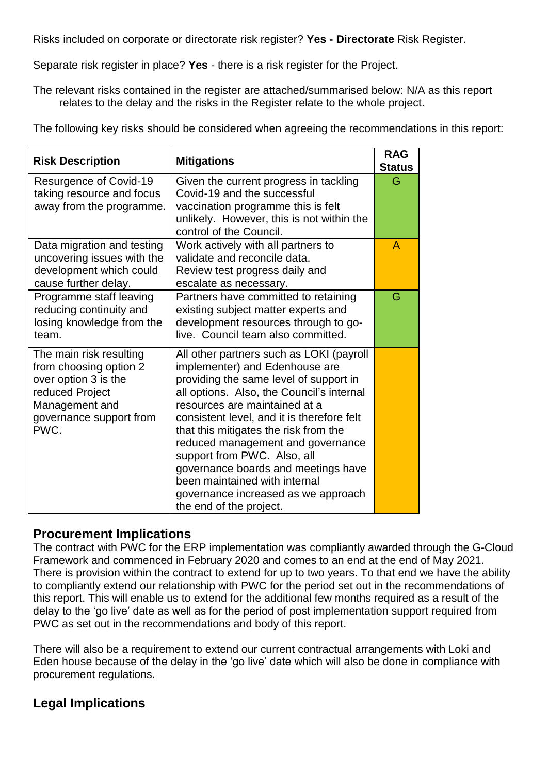Risks included on corporate or directorate risk register? **Yes - Directorate** Risk Register.

Separate risk register in place? **Yes** - there is a risk register for the Project.

The relevant risks contained in the register are attached/summarised below: N/A as this report relates to the delay and the risks in the Register relate to the whole project.

The following key risks should be considered when agreeing the recommendations in this report:

| <b>Risk Description</b>                                                                                                                           | <b>Mitigations</b>                                                                                                                                                                                                                                                                                                                                                                                                                                                                                      | <b>RAG</b><br><b>Status</b> |
|---------------------------------------------------------------------------------------------------------------------------------------------------|---------------------------------------------------------------------------------------------------------------------------------------------------------------------------------------------------------------------------------------------------------------------------------------------------------------------------------------------------------------------------------------------------------------------------------------------------------------------------------------------------------|-----------------------------|
| <b>Resurgence of Covid-19</b><br>taking resource and focus<br>away from the programme.                                                            | Given the current progress in tackling<br>Covid-19 and the successful<br>vaccination programme this is felt<br>unlikely. However, this is not within the<br>control of the Council.                                                                                                                                                                                                                                                                                                                     | G                           |
| Data migration and testing<br>uncovering issues with the<br>development which could<br>cause further delay.                                       | Work actively with all partners to<br>validate and reconcile data.<br>Review test progress daily and<br>escalate as necessary.                                                                                                                                                                                                                                                                                                                                                                          | A                           |
| Programme staff leaving<br>reducing continuity and<br>losing knowledge from the<br>team.                                                          | Partners have committed to retaining<br>existing subject matter experts and<br>development resources through to go-<br>live. Council team also committed.                                                                                                                                                                                                                                                                                                                                               | G                           |
| The main risk resulting<br>from choosing option 2<br>over option 3 is the<br>reduced Project<br>Management and<br>governance support from<br>PWC. | All other partners such as LOKI (payroll<br>implementer) and Edenhouse are<br>providing the same level of support in<br>all options. Also, the Council's internal<br>resources are maintained at a<br>consistent level, and it is therefore felt<br>that this mitigates the risk from the<br>reduced management and governance<br>support from PWC. Also, all<br>governance boards and meetings have<br>been maintained with internal<br>governance increased as we approach<br>the end of the project. |                             |

#### **Procurement Implications**

The contract with PWC for the ERP implementation was compliantly awarded through the G-Cloud Framework and commenced in February 2020 and comes to an end at the end of May 2021. There is provision within the contract to extend for up to two years. To that end we have the ability to compliantly extend our relationship with PWC for the period set out in the recommendations of this report. This will enable us to extend for the additional few months required as a result of the delay to the 'go live' date as well as for the period of post implementation support required from PWC as set out in the recommendations and body of this report.

There will also be a requirement to extend our current contractual arrangements with Loki and Eden house because of the delay in the 'go live' date which will also be done in compliance with procurement regulations.

## **Legal Implications**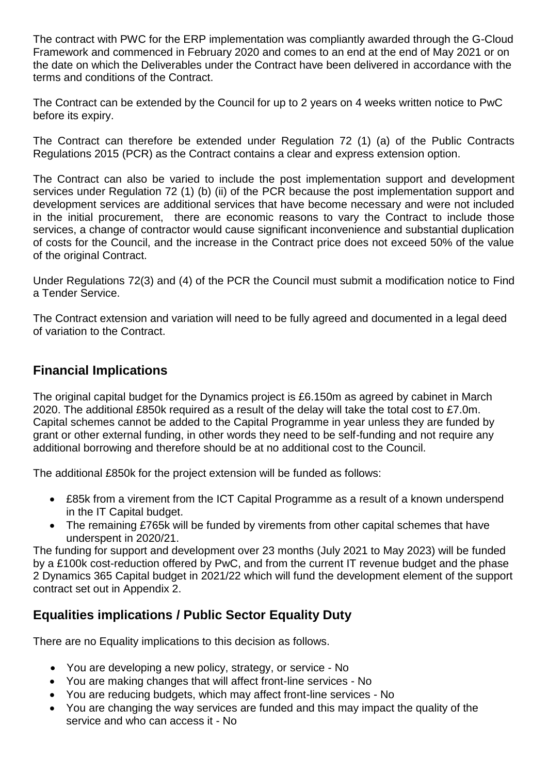The contract with PWC for the ERP implementation was compliantly awarded through the G-Cloud Framework and commenced in February 2020 and comes to an end at the end of May 2021 or on the date on which the Deliverables under the Contract have been delivered in accordance with the terms and conditions of the Contract.

The Contract can be extended by the Council for up to 2 years on 4 weeks written notice to PwC before its expiry.

The Contract can therefore be extended under Regulation 72 (1) (a) of the Public Contracts Regulations 2015 (PCR) as the Contract contains a clear and express extension option.

The Contract can also be varied to include the post implementation support and development services under Regulation 72 (1) (b) (ii) of the PCR because the post implementation support and development services are additional services that have become necessary and were not included in the initial procurement, there are economic reasons to vary the Contract to include those services, a change of contractor would cause significant inconvenience and substantial duplication of costs for the Council, and the increase in the Contract price does not exceed 50% of the value of the original Contract.

Under Regulations 72(3) and (4) of the PCR the Council must submit a modification notice to Find a Tender Service.

The Contract extension and variation will need to be fully agreed and documented in a legal deed of variation to the Contract.

## **Financial Implications**

The original capital budget for the Dynamics project is £6.150m as agreed by cabinet in March 2020. The additional £850k required as a result of the delay will take the total cost to £7.0m. Capital schemes cannot be added to the Capital Programme in year unless they are funded by grant or other external funding, in other words they need to be self-funding and not require any additional borrowing and therefore should be at no additional cost to the Council.

The additional £850k for the project extension will be funded as follows:

- £85k from a virement from the ICT Capital Programme as a result of a known underspend in the IT Capital budget.
- The remaining £765k will be funded by virements from other capital schemes that have underspent in 2020/21.

The funding for support and development over 23 months (July 2021 to May 2023) will be funded by a £100k cost-reduction offered by PwC, and from the current IT revenue budget and the phase 2 Dynamics 365 Capital budget in 2021/22 which will fund the development element of the support contract set out in Appendix 2.

## **Equalities implications / Public Sector Equality Duty**

There are no Equality implications to this decision as follows.

- You are developing a new policy, strategy, or service No
- You are making changes that will affect front-line services No
- You are reducing budgets, which may affect front-line services No
- You are changing the way services are funded and this may impact the quality of the service and who can access it - No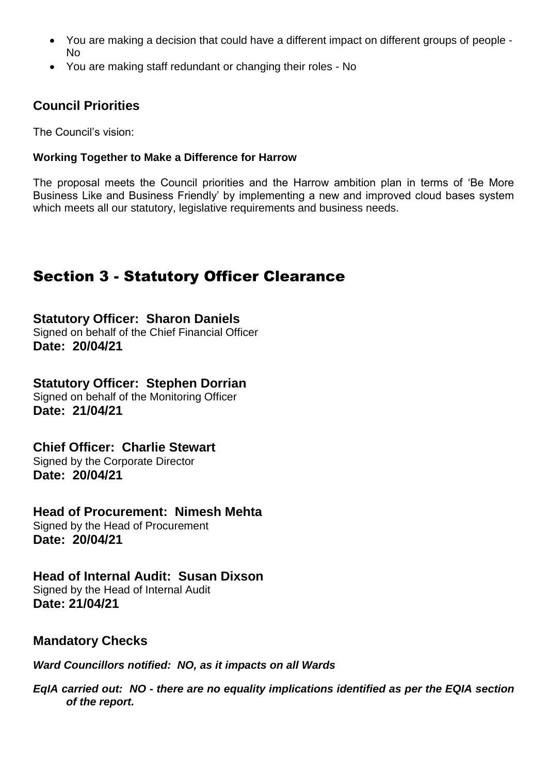- You are making a decision that could have a different impact on different groups of people No
- You are making staff redundant or changing their roles No

## **Council Priorities**

The Council's vision:

#### **Working Together to Make a Difference for Harrow**

The proposal meets the Council priorities and the Harrow ambition plan in terms of 'Be More Business Like and Business Friendly' by implementing a new and improved cloud bases system which meets all our statutory, legislative requirements and business needs.

# Section 3 - Statutory Officer Clearance

**Statutory Officer: Sharon Daniels** Signed on behalf of the Chief Financial Officer **Date: 20/04/21**

**Statutory Officer: Stephen Dorrian** Signed on behalf of the Monitoring Officer **Date: 21/04/21**

### **Chief Officer: Charlie Stewart**

Signed by the Corporate Director **Date: 20/04/21**

#### **Head of Procurement: Nimesh Mehta**

Signed by the Head of Procurement **Date: 20/04/21**

## **Head of Internal Audit: Susan Dixson**

Signed by the Head of Internal Audit **Date: 21/04/21**

### **Mandatory Checks**

*Ward Councillors notified: NO, as it impacts on all Wards*

*EqIA carried out: NO - there are no equality implications identified as per the EQIA section of the report.*